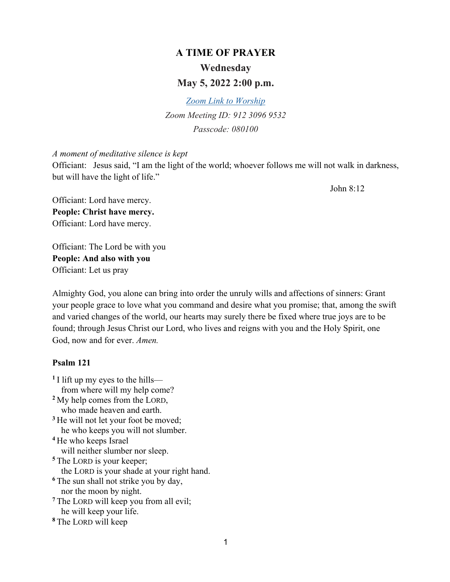# **A TIME OF PRAYER Wednesday May 5, 2022 2:00 p.m.**

*Zoom Link to Worship Zoom Meeting ID: 912 3096 9532 Passcode: 080100* 

#### *A moment of meditative silence is kept*

Officiant: Jesus said, "I am the light of the world; whoever follows me will not walk in darkness, but will have the light of life."

John 8:12

Officiant: Lord have mercy. **People: Christ have mercy.** Officiant: Lord have mercy.

Officiant: The Lord be with you **People: And also with you**  Officiant: Let us pray

Almighty God, you alone can bring into order the unruly wills and affections of sinners: Grant your people grace to love what you command and desire what you promise; that, among the swift and varied changes of the world, our hearts may surely there be fixed where true joys are to be found; through Jesus Christ our Lord, who lives and reigns with you and the Holy Spirit, one God, now and for ever. *Amen.*

#### **Psalm 121**

**<sup>1</sup>** I lift up my eyes to the hills from where will my help come? **<sup>2</sup>** My help comes from the LORD, who made heaven and earth. <sup>3</sup> He will not let your foot be moved; he who keeps you will not slumber. **<sup>4</sup>** He who keeps Israel will neither slumber nor sleep. **<sup>5</sup>** The LORD is your keeper; the LORD is your shade at your right hand. **<sup>6</sup>** The sun shall not strike you by day, nor the moon by night. **<sup>7</sup>** The LORD will keep you from all evil; he will keep your life. **<sup>8</sup>** The LORD will keep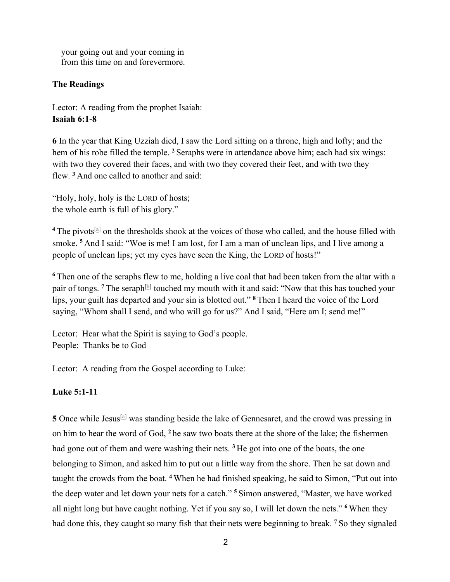your going out and your coming in from this time on and forevermore.

#### **The Readings**

Lector: A reading from the prophet Isaiah: **Isaiah 6:1-8**

**6** In the year that King Uzziah died, I saw the Lord sitting on a throne, high and lofty; and the hem of his robe filled the temple. **<sup>2</sup>** Seraphs were in attendance above him; each had six wings: with two they covered their faces, and with two they covered their feet, and with two they flew. **<sup>3</sup>** And one called to another and said:

"Holy, holy, holy is the LORD of hosts; the whole earth is full of his glory."

<sup>4</sup> The pivots<sup>[a]</sup> on the thresholds shook at the voices of those who called, and the house filled with smoke. **<sup>5</sup>** And I said: "Woe is me! I am lost, for I am a man of unclean lips, and I live among a people of unclean lips; yet my eyes have seen the King, the LORD of hosts!"

**<sup>6</sup>** Then one of the seraphs flew to me, holding a live coal that had been taken from the altar with a pair of tongs. <sup>7</sup> The seraph<sup>[b]</sup> touched my mouth with it and said: "Now that this has touched your lips, your guilt has departed and your sin is blotted out." **<sup>8</sup>** Then I heard the voice of the Lord saying, "Whom shall I send, and who will go for us?" And I said, "Here am I; send me!"

Lector: Hear what the Spirit is saying to God's people. People: Thanks be to God

Lector: A reading from the Gospel according to Luke:

## **Luke 5:1-11**

**5** Once while Jesus<sup>[a]</sup> was standing beside the lake of Gennesaret, and the crowd was pressing in on him to hear the word of God, **<sup>2</sup>** he saw two boats there at the shore of the lake; the fishermen had gone out of them and were washing their nets. **<sup>3</sup>** He got into one of the boats, the one belonging to Simon, and asked him to put out a little way from the shore. Then he sat down and taught the crowds from the boat. **<sup>4</sup>** When he had finished speaking, he said to Simon, "Put out into the deep water and let down your nets for a catch." **<sup>5</sup>** Simon answered, "Master, we have worked all night long but have caught nothing. Yet if you say so, I will let down the nets." **<sup>6</sup>** When they had done this, they caught so many fish that their nets were beginning to break. **<sup>7</sup>** So they signaled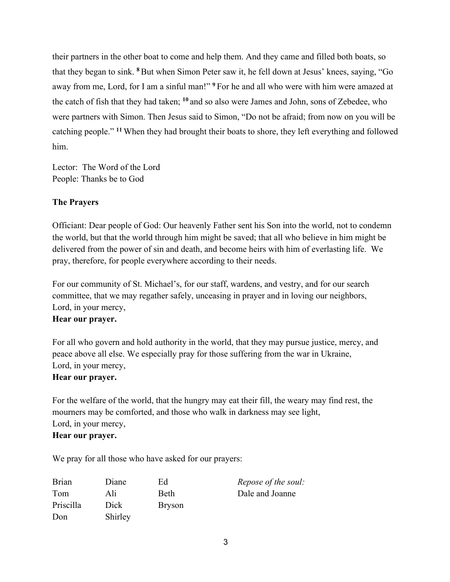their partners in the other boat to come and help them. And they came and filled both boats, so that they began to sink. **<sup>8</sup>** But when Simon Peter saw it, he fell down at Jesus' knees, saying, "Go away from me, Lord, for I am a sinful man!" **<sup>9</sup>** For he and all who were with him were amazed at the catch of fish that they had taken; **<sup>10</sup>** and so also were James and John, sons of Zebedee, who were partners with Simon. Then Jesus said to Simon, "Do not be afraid; from now on you will be catching people." **<sup>11</sup>** When they had brought their boats to shore, they left everything and followed him.

Lector: The Word of the Lord People: Thanks be to God

# **The Prayers**

Officiant: Dear people of God: Our heavenly Father sent his Son into the world, not to condemn the world, but that the world through him might be saved; that all who believe in him might be delivered from the power of sin and death, and become heirs with him of everlasting life. We pray, therefore, for people everywhere according to their needs.

For our community of St. Michael's, for our staff, wardens, and vestry, and for our search committee, that we may regather safely, unceasing in prayer and in loving our neighbors, Lord, in your mercy,

## **Hear our prayer.**

For all who govern and hold authority in the world, that they may pursue justice, mercy, and peace above all else. We especially pray for those suffering from the war in Ukraine, Lord, in your mercy,

## **Hear our prayer.**

For the welfare of the world, that the hungry may eat their fill, the weary may find rest, the mourners may be comforted, and those who walk in darkness may see light, Lord, in your mercy, **Hear our prayer.**

We pray for all those who have asked for our prayers:

| <b>Brian</b> | Diane   | Ed            | <i>Repose of the soul:</i> |
|--------------|---------|---------------|----------------------------|
| Tom          | Ali.    | <b>Beth</b>   | Dale and Joanne            |
| Priscilla    | Dick    | <b>Bryson</b> |                            |
| Don          | Shirley |               |                            |